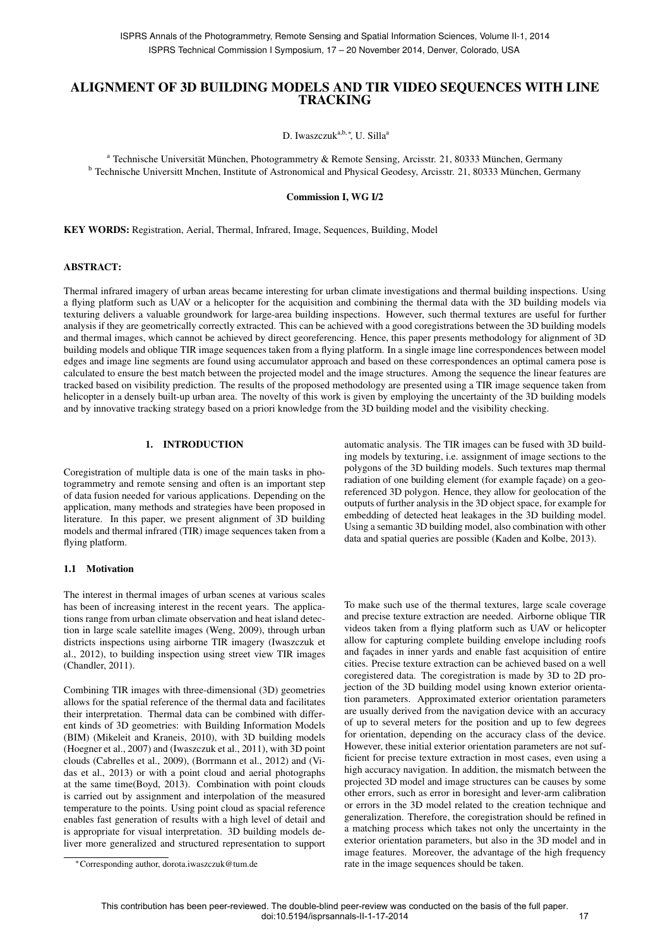# ALIGNMENT OF 3D BUILDING MODELS AND TIR VIDEO SEQUENCES WITH LINE **TRACKING**

D. Iwaszczuk<sup>a,b,∗</sup>, U. Silla<sup>a</sup>

<sup>a</sup> Technische Universität München, Photogrammetry & Remote Sensing, Arcisstr. 21, 80333 München, Germany <sup>b</sup> Technische Universitt Mnchen, Institute of Astronomical and Physical Geodesy, Arcisstr. 21, 80333 München, Germany

Commission I, WG I/2

KEY WORDS: Registration, Aerial, Thermal, Infrared, Image, Sequences, Building, Model

### ABSTRACT:

Thermal infrared imagery of urban areas became interesting for urban climate investigations and thermal building inspections. Using a flying platform such as UAV or a helicopter for the acquisition and combining the thermal data with the 3D building models via texturing delivers a valuable groundwork for large-area building inspections. However, such thermal textures are useful for further analysis if they are geometrically correctly extracted. This can be achieved with a good coregistrations between the 3D building models and thermal images, which cannot be achieved by direct georeferencing. Hence, this paper presents methodology for alignment of 3D building models and oblique TIR image sequences taken from a flying platform. In a single image line correspondences between model edges and image line segments are found using accumulator approach and based on these correspondences an optimal camera pose is calculated to ensure the best match between the projected model and the image structures. Among the sequence the linear features are tracked based on visibility prediction. The results of the proposed methodology are presented using a TIR image sequence taken from helicopter in a densely built-up urban area. The novelty of this work is given by employing the uncertainty of the 3D building models and by innovative tracking strategy based on a priori knowledge from the 3D building model and the visibility checking.

### 1. INTRODUCTION

Coregistration of multiple data is one of the main tasks in photogrammetry and remote sensing and often is an important step of data fusion needed for various applications. Depending on the application, many methods and strategies have been proposed in literature. In this paper, we present alignment of 3D building models and thermal infrared (TIR) image sequences taken from a flying platform.

#### 1.1 Motivation

The interest in thermal images of urban scenes at various scales has been of increasing interest in the recent years. The applications range from urban climate observation and heat island detection in large scale satellite images (Weng, 2009), through urban districts inspections using airborne TIR imagery (Iwaszczuk et al., 2012), to building inspection using street view TIR images (Chandler, 2011).

Combining TIR images with three-dimensional (3D) geometries allows for the spatial reference of the thermal data and facilitates their interpretation. Thermal data can be combined with different kinds of 3D geometries: with Building Information Models (BIM) (Mikeleit and Kraneis, 2010), with 3D building models (Hoegner et al., 2007) and (Iwaszczuk et al., 2011), with 3D point clouds (Cabrelles et al., 2009), (Borrmann et al., 2012) and (Vidas et al., 2013) or with a point cloud and aerial photographs at the same time(Boyd, 2013). Combination with point clouds is carried out by assignment and interpolation of the measured temperature to the points. Using point cloud as spacial reference enables fast generation of results with a high level of detail and is appropriate for visual interpretation. 3D building models deliver more generalized and structured representation to support

automatic analysis. The TIR images can be fused with 3D building models by texturing, i.e. assignment of image sections to the polygons of the 3D building models. Such textures map thermal radiation of one building element (for example façade) on a georeferenced 3D polygon. Hence, they allow for geolocation of the outputs of further analysis in the 3D object space, for example for embedding of detected heat leakages in the 3D building model. Using a semantic 3D building model, also combination with other data and spatial queries are possible (Kaden and Kolbe, 2013).

To make such use of the thermal textures, large scale coverage and precise texture extraction are needed. Airborne oblique TIR videos taken from a flying platform such as UAV or helicopter allow for capturing complete building envelope including roofs and façades in inner yards and enable fast acquisition of entire cities. Precise texture extraction can be achieved based on a well coregistered data. The coregistration is made by 3D to 2D projection of the 3D building model using known exterior orientation parameters. Approximated exterior orientation parameters are usually derived from the navigation device with an accuracy of up to several meters for the position and up to few degrees for orientation, depending on the accuracy class of the device. However, these initial exterior orientation parameters are not sufficient for precise texture extraction in most cases, even using a high accuracy navigation. In addition, the mismatch between the projected 3D model and image structures can be causes by some other errors, such as error in boresight and lever-arm calibration or errors in the 3D model related to the creation technique and generalization. Therefore, the coregistration should be refined in a matching process which takes not only the uncertainty in the exterior orientation parameters, but also in the 3D model and in image features. Moreover, the advantage of the high frequency rate in the image sequences should be taken.

<sup>∗</sup>Corresponding author, dorota.iwaszczuk@tum.de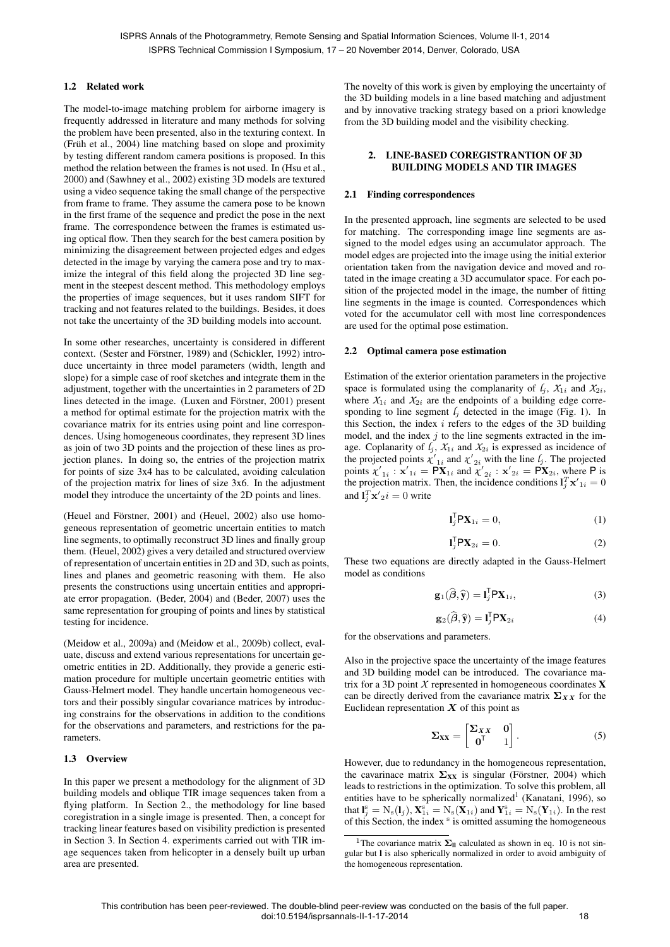### 1.2 Related work

The model-to-image matching problem for airborne imagery is frequently addressed in literature and many methods for solving the problem have been presented, also in the texturing context. In (Früh et al., 2004) line matching based on slope and proximity by testing different random camera positions is proposed. In this method the relation between the frames is not used. In (Hsu et al., 2000) and (Sawhney et al., 2002) existing 3D models are textured using a video sequence taking the small change of the perspective from frame to frame. They assume the camera pose to be known in the first frame of the sequence and predict the pose in the next frame. The correspondence between the frames is estimated using optical flow. Then they search for the best camera position by minimizing the disagreement between projected edges and edges detected in the image by varying the camera pose and try to maximize the integral of this field along the projected 3D line segment in the steepest descent method. This methodology employs the properties of image sequences, but it uses random SIFT for tracking and not features related to the buildings. Besides, it does not take the uncertainty of the 3D building models into account.

In some other researches, uncertainty is considered in different context. (Sester and Förstner, 1989) and (Schickler, 1992) introduce uncertainty in three model parameters (width, length and slope) for a simple case of roof sketches and integrate them in the adjustment, together with the uncertainties in 2 parameters of 2D lines detected in the image. (Luxen and Förstner, 2001) present a method for optimal estimate for the projection matrix with the covariance matrix for its entries using point and line correspondences. Using homogeneous coordinates, they represent 3D lines as join of two 3D points and the projection of these lines as projection planes. In doing so, the entries of the projection matrix for points of size 3x4 has to be calculated, avoiding calculation of the projection matrix for lines of size 3x6. In the adjustment model they introduce the uncertainty of the 2D points and lines.

(Heuel and Förstner, 2001) and (Heuel, 2002) also use homogeneous representation of geometric uncertain entities to match line segments, to optimally reconstruct 3D lines and finally group them. (Heuel, 2002) gives a very detailed and structured overview of representation of uncertain entities in 2D and 3D, such as points, lines and planes and geometric reasoning with them. He also presents the constructions using uncertain entities and appropriate error propagation. (Beder, 2004) and (Beder, 2007) uses the same representation for grouping of points and lines by statistical testing for incidence.

(Meidow et al., 2009a) and (Meidow et al., 2009b) collect, evaluate, discuss and extend various representations for uncertain geometric entities in 2D. Additionally, they provide a generic estimation procedure for multiple uncertain geometric entities with Gauss-Helmert model. They handle uncertain homogeneous vectors and their possibly singular covariance matrices by introducing constrains for the observations in addition to the conditions for the observations and parameters, and restrictions for the parameters.

#### 1.3 Overview

In this paper we present a methodology for the alignment of 3D building models and oblique TIR image sequences taken from a flying platform. In Section 2., the methodology for line based coregistration in a single image is presented. Then, a concept for tracking linear features based on visibility prediction is presented in Section 3. In Section 4. experiments carried out with TIR image sequences taken from helicopter in a densely built up urban area are presented.

The novelty of this work is given by employing the uncertainty of the 3D building models in a line based matching and adjustment and by innovative tracking strategy based on a priori knowledge from the 3D building model and the visibility checking.

### 2. LINE-BASED COREGISTRANTION OF 3D BUILDING MODELS AND TIR IMAGES

#### 2.1 Finding correspondences

In the presented approach, line segments are selected to be used for matching. The corresponding image line segments are assigned to the model edges using an accumulator approach. The model edges are projected into the image using the initial exterior orientation taken from the navigation device and moved and rotated in the image creating a 3D accumulator space. For each position of the projected model in the image, the number of fitting line segments in the image is counted. Correspondences which voted for the accumulator cell with most line correspondences are used for the optimal pose estimation.

#### 2.2 Optimal camera pose estimation

Estimation of the exterior orientation parameters in the projective space is formulated using the complanarity of  $l_i$ ,  $X_{1i}$  and  $X_{2i}$ , where  $X_{1i}$  and  $X_{2i}$  are the endpoints of a building edge corresponding to line segment  $l_i$  detected in the image (Fig. 1). In this Section, the index  $i$  refers to the edges of the 3D building model, and the index  $j$  to the line segments extracted in the image. Coplanarity of  $l_j$ ,  $X_{1i}$  and  $X_{2i}$  is expressed as incidence of the projected points  $\chi'_{1i}$  and  $\chi'_{2i}$  with the line  $l_j$ . The projected points  $\chi'_{1i}$ :  $\mathbf{x}'_{1i} = \mathbf{PX}_{1i}$  and  $\chi'_{2i}$ :  $\mathbf{x}'_{2i} = \mathbf{PX}_{2i}$ , where P is the projection matrix. Then, the incidence conditions  $\mathbf{l}_j^T \mathbf{x'}_{1i} = 0$ and  $\mathbf{l}_j^T \mathbf{x'}_2 i = 0$  write

$$
\mathbf{l}_j^{\mathsf{T}} \mathsf{P} \mathbf{X}_{1i} = 0,\tag{1}
$$

$$
\mathbf{l}_j^{\mathsf{T}} \mathsf{P} \mathbf{X}_{2i} = 0. \tag{2}
$$

These two equations are directly adapted in the Gauss-Helmert model as conditions

$$
\mathbf{g}_1(\widehat{\boldsymbol{\beta}}, \widehat{\mathbf{y}}) = \mathbf{I}_j^{\mathsf{T}} \mathsf{P} \mathbf{X}_{1i},\tag{3}
$$

$$
\mathbf{g}_2(\widehat{\boldsymbol{\beta}}, \widehat{\mathbf{y}}) = \mathbf{I}_j^{\mathsf{T}} \mathsf{P} \mathbf{X}_{2i} \tag{4}
$$

for the observations and parameters.

Also in the projective space the uncertainty of the image features and 3D building model can be introduced. The covariance matrix for a 3D point  $X$  represented in homogeneous coordinates  $X$ can be directly derived from the cavariance matrix  $\Sigma_{XX}$  for the Euclidean representation  $X$  of this point as

$$
\Sigma_{XX} = \begin{bmatrix} \Sigma_{XX} & 0 \\ 0^{\mathsf{T}} & 1 \end{bmatrix} . \tag{5}
$$

However, due to redundancy in the homogeneous representation, the cavarinace matrix  $\Sigma_{XX}$  is singular (Förstner, 2004) which leads to restrictions in the optimization. To solve this problem, all entities have to be spherically normalized<sup>1</sup> (Kanatani, 1996), so that  $\mathbf{l}_j^s = N_s(\mathbf{l}_j)$ ,  $\mathbf{X}_{1i}^s = N_s(\mathbf{X}_{1i})$  and  $\mathbf{Y}_{1i}^s = N_s(\mathbf{Y}_{1i})$ . In the rest of this Section, the index<sup>s</sup> is omitted assuming the homogeneous

<sup>&</sup>lt;sup>1</sup>The covariance matrix  $\Sigma_{\text{II}}$  calculated as shown in eq. 10 is not singular but l is also spherically normalized in order to avoid ambiguity of the homogeneous representation.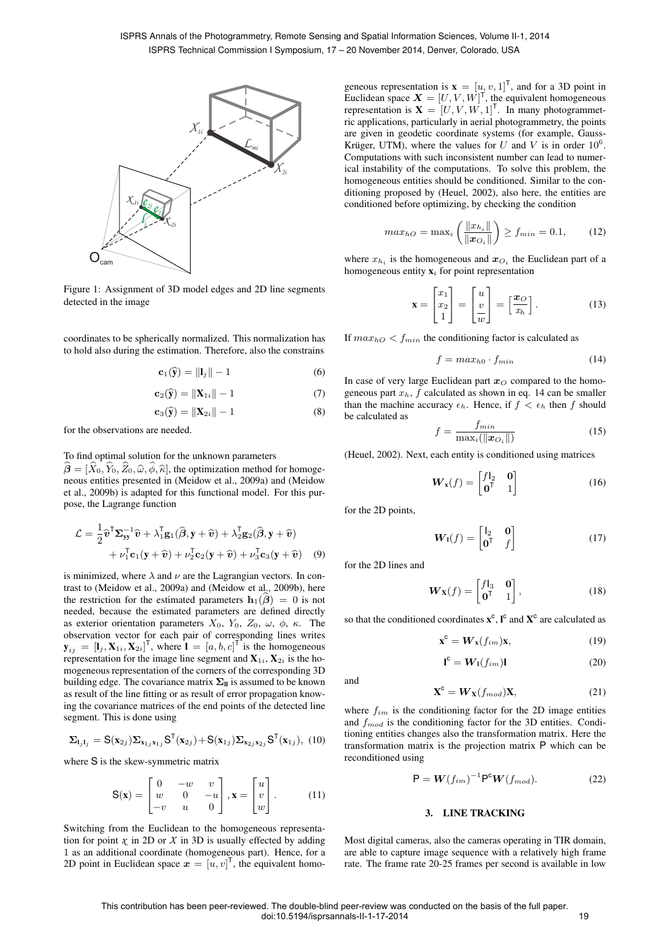

Figure 1: Assignment of 3D model edges and 2D line segments detected in the image

coordinates to be spherically normalized. This normalization has to hold also during the estimation. Therefore, also the constrains

$$
\mathbf{c}_1(\widehat{\mathbf{y}}) = \|\mathbf{l}_j\| - 1 \tag{6}
$$

$$
\mathbf{c}_2(\widehat{\mathbf{y}}) = \|\mathbf{X}_{1i}\| - 1 \tag{7}
$$

$$
\mathbf{c}_3(\widehat{\mathbf{y}}) = \|\mathbf{X}_{2i}\| - 1 \tag{8}
$$

for the observations are needed.

### To find optimal solution for the unknown parameters

 $\hat{\boldsymbol{\beta}} = [\hat{X}_0, \hat{Y}_0, \hat{Z}_0, \hat{\omega}, \hat{\phi}, \hat{\kappa}]$ , the optimization method for homogeneous entities presented in (Meidow et al., 2009a) and (Meidow et al., 2009b) is adapted for this functional model. For this purpose, the Lagrange function

$$
\mathcal{L} = \frac{1}{2} \hat{\boldsymbol{v}}^{\mathsf{T}} \boldsymbol{\Sigma}_{\mathbf{y} \mathbf{y}}^{-1} \hat{\boldsymbol{v}} + \lambda_1^{\mathsf{T}} \mathbf{g}_1(\hat{\boldsymbol{\beta}}, \mathbf{y} + \hat{\boldsymbol{v}}) + \lambda_2^{\mathsf{T}} \mathbf{g}_2(\hat{\boldsymbol{\beta}}, \mathbf{y} + \hat{\boldsymbol{v}}) + \nu_1^{\mathsf{T}} \mathbf{c}_1(\mathbf{y} + \hat{\boldsymbol{v}}) + \nu_2^{\mathsf{T}} \mathbf{c}_2(\mathbf{y} + \hat{\boldsymbol{v}}) + \nu_3^{\mathsf{T}} \mathbf{c}_3(\mathbf{y} + \hat{\boldsymbol{v}})
$$
(9)

is minimized, where  $\lambda$  and  $\nu$  are the Lagrangian vectors. In contrast to (Meidow et al., 2009a) and (Meidow et al., 2009b), here the restriction for the estimated parameters  $\mathbf{h}_1(\widehat{\boldsymbol{\beta}}) = 0$  is not needed, because the estimated parameters are defined directly as exterior orientation parameters  $X_0$ ,  $Y_0$ ,  $Z_0$ ,  $\omega$ ,  $\phi$ ,  $\kappa$ . The observation vector for each pair of corresponding lines writes  $\mathbf{y}_{ij} = [\mathbf{l}_j, \mathbf{X}_{1i}, \mathbf{X}_{2i}]^\mathsf{T}$ , where  $\mathbf{l} = [a, b, c]^\mathsf{T}$  is the homogeneous representation for the image line segment and  $X_{1i}$ ,  $X_{2i}$  is the homogeneous representation of the corners of the corresponding 3D building edge. The covariance matrix  $\Sigma_{\parallel}$  is assumed to be known as result of the line fitting or as result of error propagation knowing the covariance matrices of the end points of the detected line segment. This is done using

$$
\Sigma_{\mathbf{l}_j\mathbf{l}_j} = \mathbf{S}(\mathbf{x}_{2j})\Sigma_{\mathbf{x}_{1j}\mathbf{x}_{1j}}\mathbf{S}^{\mathsf{T}}(\mathbf{x}_{2j}) + \mathbf{S}(\mathbf{x}_{1j})\Sigma_{\mathbf{x}_{2j}\mathbf{x}_{2j}}\mathbf{S}^{\mathsf{T}}(\mathbf{x}_{1j}), \quad (10)
$$

where S is the skew-symmetric matrix

$$
\mathbf{S}(\mathbf{x}) = \begin{bmatrix} 0 & -w & v \\ w & 0 & -u \\ -v & u & 0 \end{bmatrix}, \mathbf{x} = \begin{bmatrix} u \\ v \\ w \end{bmatrix}.
$$
 (11)

Switching from the Euclidean to the homogeneous representation for point  $\chi$  in 2D or  $X$  in 3D is usually effected by adding 1 as an additional coordinate (homogeneous part). Hence, for a 2D point in Euclidean space  $\boldsymbol{x} = [u, v]^{\mathsf{T}}$ , the equivalent homo-

geneous representation is  $\mathbf{x} = [u, v, 1]^T$ , and for a 3D point in Euclidean space  $\mathbf{X} = [U, V, W]^T$ , the equivalent homogeneous representation is  $X = [U, V, W, 1]^T$ . In many photogrammetric applications, particularly in aerial photogrammetry, the points are given in geodetic coordinate systems (for example, Gauss-Krüger, UTM), where the values for U and V is in order  $10^6$ . Computations with such inconsistent number can lead to numerical instability of the computations. To solve this problem, the homogeneous entities should be conditioned. Similar to the conditioning proposed by (Heuel, 2002), also here, the entities are conditioned before optimizing, by checking the condition

$$
max_{hO} = \max_{i} \left( \frac{\|x_{h_i}\|}{\|\boldsymbol{x}_{O_i}\|} \right) \ge f_{min} = 0.1, \quad (12)
$$

where  $x_{h_i}$  is the homogeneous and  $x_{O_i}$  the Euclidean part of a homogeneous entity  $x_i$  for point representation

$$
\mathbf{x} = \begin{bmatrix} x_1 \\ x_2 \\ 1 \end{bmatrix} = \begin{bmatrix} u \\ v \\ w \end{bmatrix} = \begin{bmatrix} \mathbf{x}_0 \\ \mathbf{x}_h \end{bmatrix} . \tag{13}
$$

If  $max_{hO}$  <  $f_{min}$  the conditioning factor is calculated as

$$
f = max_{h0} \cdot f_{min} \tag{14}
$$

In case of very large Euclidean part  $x<sub>O</sub>$  compared to the homogeneous part  $x_h$ , f calculated as shown in eq. 14 can be smaller than the machine accuracy  $\epsilon_h$ . Hence, if  $f < \epsilon_h$  then f should be calculated as

$$
f = \frac{f_{min}}{\max_i(\|\boldsymbol{x}_{O_i}\|)}\tag{15}
$$

(Heuel, 2002). Next, each entity is conditioned using matrices

$$
\boldsymbol{W}_{\mathbf{x}}(f) = \begin{bmatrix} f|_{2} & \mathbf{0} \\ \mathbf{0}^{\mathsf{T}} & 1 \end{bmatrix}
$$
 (16)

for the 2D points,

$$
\boldsymbol{W}_1(f) = \begin{bmatrix} \mathbf{I}_2 & \mathbf{0} \\ \mathbf{0}^\mathsf{T} & f \end{bmatrix} \tag{17}
$$

for the 2D lines and

$$
\boldsymbol{W}_{\mathbf{X}}(f) = \begin{bmatrix} f|_{3} & \mathbf{0} \\ \mathbf{0}^{\mathsf{T}} & 1 \end{bmatrix},\tag{18}
$$

so that the conditioned coordinates  $x^c$ ,  $I^c$  and  $X^c$  are calculated as

$$
\mathbf{x}^{\mathbf{c}} = \mathbf{W}_{\mathbf{x}}(f_{im})\mathbf{x},\tag{19}
$$

$$
\mathbf{l}^{\mathsf{c}} = \mathbf{W}_{\mathsf{I}}(f_{im})\mathbf{l} \tag{20}
$$

and

$$
\mathbf{X}^{\mathbf{C}} = \mathbf{W}_{\mathbf{X}}(f_{mod})\mathbf{X},\tag{21}
$$

where  $f_{im}$  is the conditioning factor for the 2D image entities and  $f_{mod}$  is the conditioning factor for the 3D entities. Conditioning entities changes also the transformation matrix. Here the transformation matrix is the projection matrix P which can be reconditioned using

$$
\mathsf{P} = \mathbf{W}(f_{im})^{-1} \mathsf{P}^{\mathsf{c}} \mathbf{W}(f_{mod}). \tag{22}
$$

#### 3. LINE TRACKING

Most digital cameras, also the cameras operating in TIR domain, are able to capture image sequence with a relatively high frame rate. The frame rate 20-25 frames per second is available in low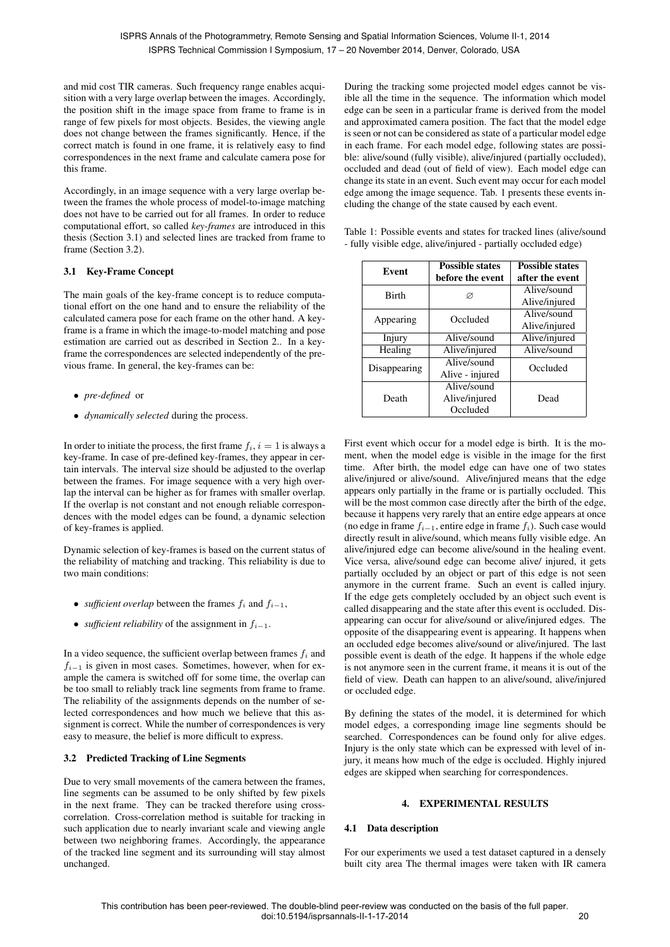and mid cost TIR cameras. Such frequency range enables acquisition with a very large overlap between the images. Accordingly, the position shift in the image space from frame to frame is in range of few pixels for most objects. Besides, the viewing angle does not change between the frames significantly. Hence, if the correct match is found in one frame, it is relatively easy to find correspondences in the next frame and calculate camera pose for this frame.

Accordingly, in an image sequence with a very large overlap between the frames the whole process of model-to-image matching does not have to be carried out for all frames. In order to reduce computational effort, so called *key-frames* are introduced in this thesis (Section 3.1) and selected lines are tracked from frame to frame (Section 3.2).

# 3.1 Key-Frame Concept

The main goals of the key-frame concept is to reduce computational effort on the one hand and to ensure the reliability of the calculated camera pose for each frame on the other hand. A keyframe is a frame in which the image-to-model matching and pose estimation are carried out as described in Section 2.. In a keyframe the correspondences are selected independently of the previous frame. In general, the key-frames can be:

- *pre-defined* or
- *dynamically selected* during the process.

In order to initiate the process, the first frame  $f_i$ ,  $i = 1$  is always a key-frame. In case of pre-defined key-frames, they appear in certain intervals. The interval size should be adjusted to the overlap between the frames. For image sequence with a very high overlap the interval can be higher as for frames with smaller overlap. If the overlap is not constant and not enough reliable correspondences with the model edges can be found, a dynamic selection of key-frames is applied.

Dynamic selection of key-frames is based on the current status of the reliability of matching and tracking. This reliability is due to two main conditions:

- *sufficient overlap* between the frames  $f_i$  and  $f_{i-1}$ ,
- *sufficient reliability* of the assignment in  $f_{i-1}$ .

In a video sequence, the sufficient overlap between frames  $f_i$  and  $f_{i-1}$  is given in most cases. Sometimes, however, when for example the camera is switched off for some time, the overlap can be too small to reliably track line segments from frame to frame. The reliability of the assignments depends on the number of selected correspondences and how much we believe that this assignment is correct. While the number of correspondences is very easy to measure, the belief is more difficult to express.

# 3.2 Predicted Tracking of Line Segments

Due to very small movements of the camera between the frames, line segments can be assumed to be only shifted by few pixels in the next frame. They can be tracked therefore using crosscorrelation. Cross-correlation method is suitable for tracking in such application due to nearly invariant scale and viewing angle between two neighboring frames. Accordingly, the appearance of the tracked line segment and its surrounding will stay almost unchanged.

During the tracking some projected model edges cannot be visible all the time in the sequence. The information which model edge can be seen in a particular frame is derived from the model and approximated camera position. The fact that the model edge is seen or not can be considered as state of a particular model edge in each frame. For each model edge, following states are possible: alive/sound (fully visible), alive/injured (partially occluded), occluded and dead (out of field of view). Each model edge can change its state in an event. Such event may occur for each model edge among the image sequence. Tab. 1 presents these events including the change of the state caused by each event.

| Table 1: Possible events and states for tracked lines (alive/sound |  |
|--------------------------------------------------------------------|--|
| - fully visible edge, alive/injured - partially occluded edge)     |  |

| Event        | <b>Possible states</b><br>before the event | <b>Possible states</b><br>after the event |
|--------------|--------------------------------------------|-------------------------------------------|
| <b>Birth</b> | Ø                                          | Alive/sound<br>Alive/injured              |
| Appearing    | Occluded                                   | Alive/sound<br>Alive/injured              |
| Injury       | Alive/sound                                | Alive/injured                             |
| Healing      | Alive/injured                              | Alive/sound                               |
| Disappearing | Alive/sound<br>Alive - injured             | Occluded                                  |
| Death        | Alive/sound<br>Alive/injured<br>Occluded   | Dead                                      |

First event which occur for a model edge is birth. It is the moment, when the model edge is visible in the image for the first time. After birth, the model edge can have one of two states alive/injured or alive/sound. Alive/injured means that the edge appears only partially in the frame or is partially occluded. This will be the most common case directly after the birth of the edge, because it happens very rarely that an entire edge appears at once (no edge in frame  $f_{i-1}$ , entire edge in frame  $f_i$ ). Such case would directly result in alive/sound, which means fully visible edge. An alive/injured edge can become alive/sound in the healing event. Vice versa, alive/sound edge can become alive/ injured, it gets partially occluded by an object or part of this edge is not seen anymore in the current frame. Such an event is called injury. If the edge gets completely occluded by an object such event is called disappearing and the state after this event is occluded. Disappearing can occur for alive/sound or alive/injured edges. The opposite of the disappearing event is appearing. It happens when an occluded edge becomes alive/sound or alive/injured. The last possible event is death of the edge. It happens if the whole edge is not anymore seen in the current frame, it means it is out of the field of view. Death can happen to an alive/sound, alive/injured or occluded edge.

By defining the states of the model, it is determined for which model edges, a corresponding image line segments should be searched. Correspondences can be found only for alive edges. Injury is the only state which can be expressed with level of injury, it means how much of the edge is occluded. Highly injured edges are skipped when searching for correspondences.

### 4. EXPERIMENTAL RESULTS

### 4.1 Data description

For our experiments we used a test dataset captured in a densely built city area The thermal images were taken with IR camera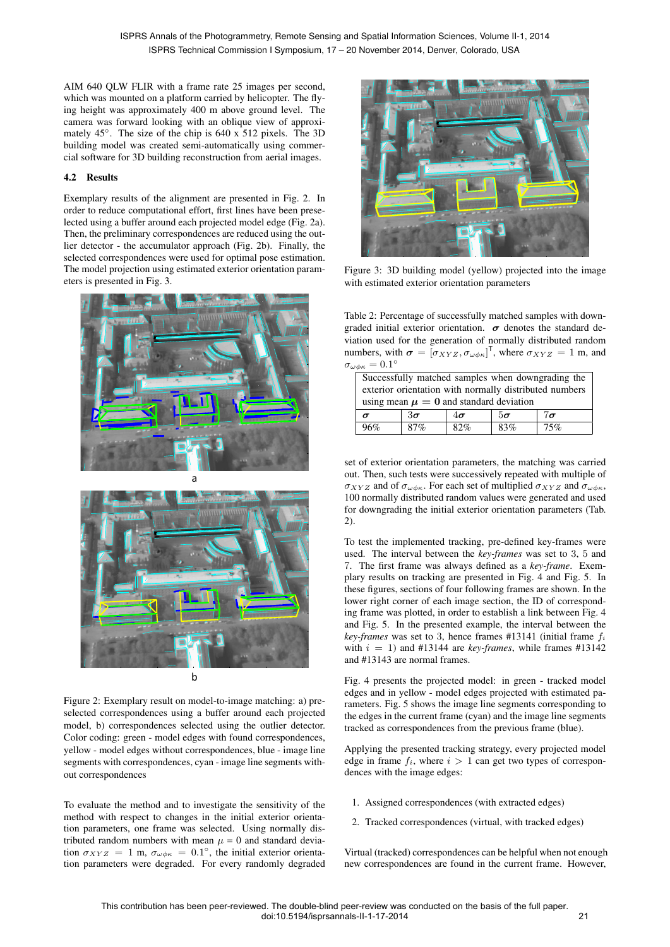AIM 640 QLW FLIR with a frame rate 25 images per second, which was mounted on a platform carried by helicopter. The flying height was approximately 400 m above ground level. The camera was forward looking with an oblique view of approximately 45◦ . The size of the chip is 640 x 512 pixels. The 3D building model was created semi-automatically using commercial software for 3D building reconstruction from aerial images.

### 4.2 Results

Exemplary results of the alignment are presented in Fig. 2. In order to reduce computational effort, first lines have been preselected using a buffer around each projected model edge (Fig. 2a). Then, the preliminary correspondences are reduced using the outlier detector - the accumulator approach (Fig. 2b). Finally, the selected correspondences were used for optimal pose estimation. The model projection using estimated exterior orientation parameters is presented in Fig. 3.



Figure 2: Exemplary result on model-to-image matching: a) preselected correspondences using a buffer around each projected model, b) correspondences selected using the outlier detector. Color coding: green - model edges with found correspondences, yellow - model edges without correspondences, blue - image line segments with correspondences, cyan - image line segments without correspondences

To evaluate the method and to investigate the sensitivity of the method with respect to changes in the initial exterior orientation parameters, one frame was selected. Using normally distributed random numbers with mean  $\mu = 0$  and standard deviation  $\sigma_{XYZ} = 1$  m,  $\sigma_{\omega\phi\kappa} = 0.1^{\circ}$ , the initial exterior orientation parameters were degraded. For every randomly degraded



Figure 3: 3D building model (yellow) projected into the image with estimated exterior orientation parameters

Table 2: Percentage of successfully matched samples with downgraded initial exterior orientation.  $\sigma$  denotes the standard deviation used for the generation of normally distributed random numbers, with  $\boldsymbol{\sigma} = [\sigma_{XYZ}, \sigma_{\omega \phi \kappa}]^T$ , where  $\sigma_{XYZ} = 1$  m, and  $\sigma_{\omega\phi\kappa} = 0.1^{\circ}$ 

| Successfully matched samples when downgrading the      |           |           |           |           |  |
|--------------------------------------------------------|-----------|-----------|-----------|-----------|--|
| exterior orientation with normally distributed numbers |           |           |           |           |  |
| using mean $\mu = 0$ and standard deviation            |           |           |           |           |  |
| $\sigma$                                               | $3\sigma$ | $4\sigma$ | $5\sigma$ | $7\sigma$ |  |
| 96%                                                    | 87%       | 82%       | 83%       | 75%       |  |

set of exterior orientation parameters, the matching was carried out. Then, such tests were successively repeated with multiple of  $\sigma_{XYZ}$  and of  $\sigma_{\omega\phi\kappa}$ . For each set of multiplied  $\sigma_{XYZ}$  and  $\sigma_{\omega\phi\kappa}$ , 100 normally distributed random values were generated and used for downgrading the initial exterior orientation parameters (Tab. 2).

To test the implemented tracking, pre-defined key-frames were used. The interval between the *key-frames* was set to 3, 5 and 7. The first frame was always defined as a *key-frame*. Exemplary results on tracking are presented in Fig. 4 and Fig. 5. In these figures, sections of four following frames are shown. In the lower right corner of each image section, the ID of corresponding frame was plotted, in order to establish a link between Fig. 4 and Fig. 5. In the presented example, the interval between the *key-frames* was set to 3, hence frames #13141 (initial frame  $f_i$ ) with  $i = 1$ ) and #13144 are *key-frames*, while frames #13142 and #13143 are normal frames.

Fig. 4 presents the projected model: in green - tracked model edges and in yellow - model edges projected with estimated parameters. Fig. 5 shows the image line segments corresponding to the edges in the current frame (cyan) and the image line segments tracked as correspondences from the previous frame (blue).

Applying the presented tracking strategy, every projected model edge in frame  $f_i$ , where  $i > 1$  can get two types of correspondences with the image edges:

- 1. Assigned correspondences (with extracted edges)
- 2. Tracked correspondences (virtual, with tracked edges)

Virtual (tracked) correspondences can be helpful when not enough new correspondences are found in the current frame. However,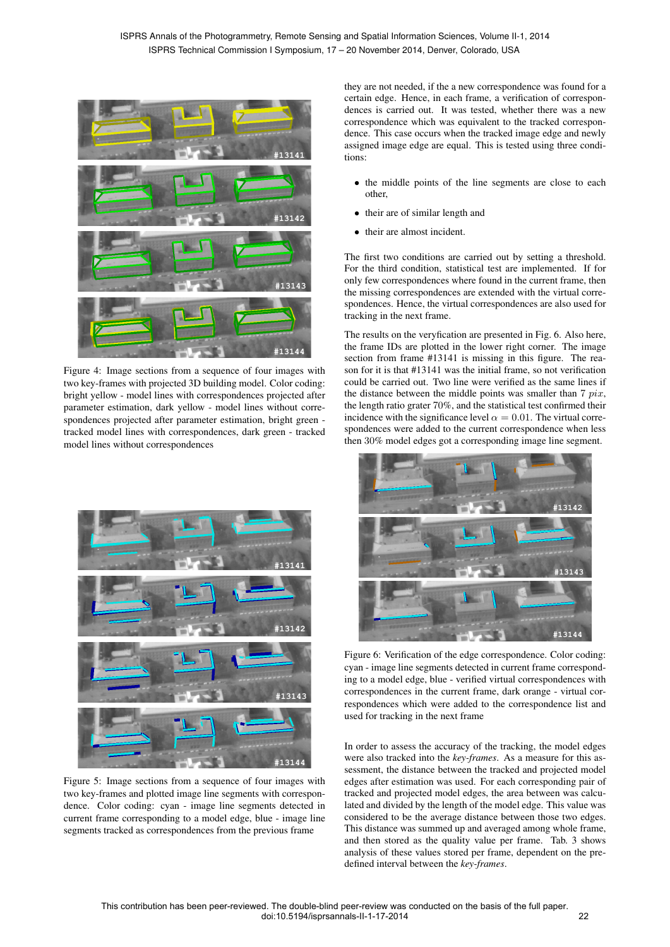

Figure 4: Image sections from a sequence of four images with two key-frames with projected 3D building model. Color coding: bright yellow - model lines with correspondences projected after parameter estimation, dark yellow - model lines without correspondences projected after parameter estimation, bright green tracked model lines with correspondences, dark green - tracked model lines without correspondences



Figure 5: Image sections from a sequence of four images with two key-frames and plotted image line segments with correspondence. Color coding: cyan - image line segments detected in current frame corresponding to a model edge, blue - image line segments tracked as correspondences from the previous frame

they are not needed, if the a new correspondence was found for a certain edge. Hence, in each frame, a verification of correspondences is carried out. It was tested, whether there was a new correspondence which was equivalent to the tracked correspondence. This case occurs when the tracked image edge and newly assigned image edge are equal. This is tested using three conditions:

- the middle points of the line segments are close to each other,
- their are of similar length and
- their are almost incident.

The first two conditions are carried out by setting a threshold. For the third condition, statistical test are implemented. If for only few correspondences where found in the current frame, then the missing correspondences are extended with the virtual correspondences. Hence, the virtual correspondences are also used for tracking in the next frame.

The results on the veryfication are presented in Fig. 6. Also here, the frame IDs are plotted in the lower right corner. The image section from frame #13141 is missing in this figure. The reason for it is that #13141 was the initial frame, so not verification could be carried out. Two line were verified as the same lines if the distance between the middle points was smaller than  $7 \; pix$ , the length ratio grater 70%, and the statistical test confirmed their incidence with the significance level  $\alpha = 0.01$ . The virtual correspondences were added to the current correspondence when less then 30% model edges got a corresponding image line segment.



Figure 6: Verification of the edge correspondence. Color coding: cyan - image line segments detected in current frame corresponding to a model edge, blue - verified virtual correspondences with correspondences in the current frame, dark orange - virtual correspondences which were added to the correspondence list and used for tracking in the next frame

In order to assess the accuracy of the tracking, the model edges were also tracked into the *key-frames*. As a measure for this assessment, the distance between the tracked and projected model edges after estimation was used. For each corresponding pair of tracked and projected model edges, the area between was calculated and divided by the length of the model edge. This value was considered to be the average distance between those two edges. This distance was summed up and averaged among whole frame, and then stored as the quality value per frame. Tab. 3 shows analysis of these values stored per frame, dependent on the predefined interval between the *key-frames*.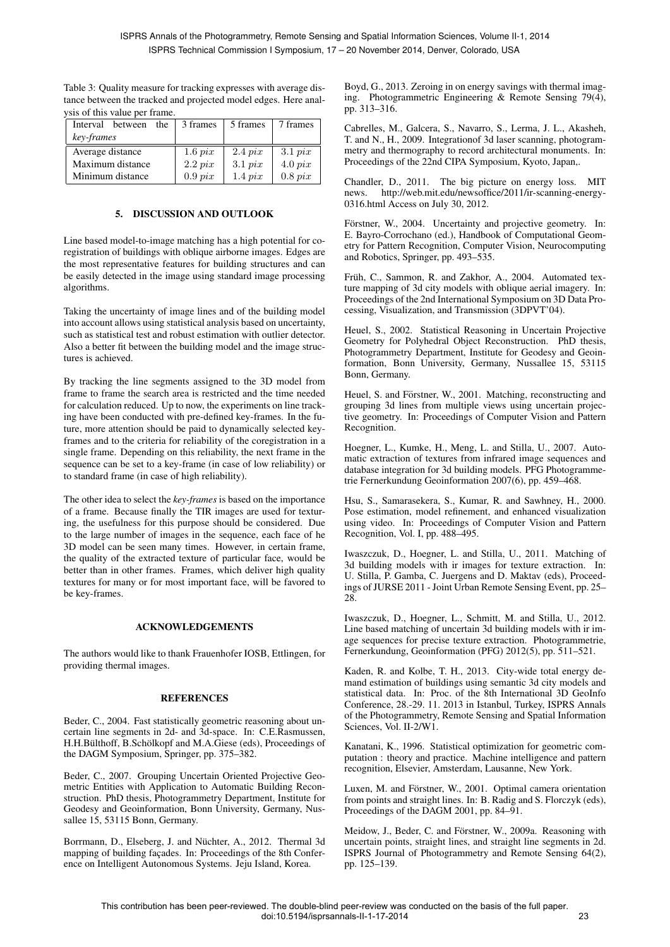| ysis of this value per frame. |            |            |            |  |
|-------------------------------|------------|------------|------------|--|
| Interval<br>between<br>the    | 3 frames   | 5 frames   | 7 frames   |  |
| key-frames                    |            |            |            |  |
| Average distance              | $1.6\;pix$ | $2.4\;pix$ | $3.1\;pix$ |  |
| Maximum distance              | $2.2\;pix$ | $3.1\;pix$ | $4.0\;pix$ |  |
| Minimum distance              | $0.9\;pix$ | $1.4\;pix$ | $0.8\;pix$ |  |

Table 3: Quality measure for tracking expresses with average distance between the tracked and projected model edges. Here analysis of this value per frame.

# 5. DISCUSSION AND OUTLOOK

Line based model-to-image matching has a high potential for coregistration of buildings with oblique airborne images. Edges are the most representative features for building structures and can be easily detected in the image using standard image processing algorithms.

Taking the uncertainty of image lines and of the building model into account allows using statistical analysis based on uncertainty, such as statistical test and robust estimation with outlier detector. Also a better fit between the building model and the image structures is achieved.

By tracking the line segments assigned to the 3D model from frame to frame the search area is restricted and the time needed for calculation reduced. Up to now, the experiments on line tracking have been conducted with pre-defined key-frames. In the future, more attention should be paid to dynamically selected keyframes and to the criteria for reliability of the coregistration in a single frame. Depending on this reliability, the next frame in the sequence can be set to a key-frame (in case of low reliability) or to standard frame (in case of high reliability).

The other idea to select the *key-frames* is based on the importance of a frame. Because finally the TIR images are used for texturing, the usefulness for this purpose should be considered. Due to the large number of images in the sequence, each face of he 3D model can be seen many times. However, in certain frame, the quality of the extracted texture of particular face, would be better than in other frames. Frames, which deliver high quality textures for many or for most important face, will be favored to be key-frames.

#### ACKNOWLEDGEMENTS

The authors would like to thank Frauenhofer IOSB, Ettlingen, for providing thermal images.

### **REFERENCES**

Beder, C., 2004. Fast statistically geometric reasoning about uncertain line segments in 2d- and 3d-space. In: C.E.Rasmussen, H.H.Bülthoff, B.Schölkopf and M.A.Giese (eds), Proceedings of the DAGM Symposium, Springer, pp. 375–382.

Beder, C., 2007. Grouping Uncertain Oriented Projective Geometric Entities with Application to Automatic Building Reconstruction. PhD thesis, Photogrammetry Department, Institute for Geodesy and Geoinformation, Bonn University, Germany, Nussallee 15, 53115 Bonn, Germany.

Borrmann, D., Elseberg, J. and Nüchter, A., 2012. Thermal 3d mapping of building facades. In: Proceedings of the 8th Conference on Intelligent Autonomous Systems. Jeju Island, Korea.

Boyd, G., 2013. Zeroing in on energy savings with thermal imaging. Photogrammetric Engineering & Remote Sensing 79(4), pp. 313–316.

Cabrelles, M., Galcera, S., Navarro, S., Lerma, J. L., Akasheh, T. and N., H., 2009. Integrationof 3d laser scanning, photogrammetry and thermography to record architectural monuments. In: Proceedings of the 22nd CIPA Symposium, Kyoto, Japan,.

Chandler, D., 2011. The big picture on energy loss. MIT news. http://web.mit.edu/newsoffice/2011/ir-scanning-energy-0316.html Access on July 30, 2012.

Förstner, W., 2004. Uncertainty and projective geometry. In: E. Bayro-Corrochano (ed.), Handbook of Computational Geometry for Pattern Recognition, Computer Vision, Neurocomputing and Robotics, Springer, pp. 493–535.

Früh, C., Sammon, R. and Zakhor, A., 2004. Automated texture mapping of 3d city models with oblique aerial imagery. In: Proceedings of the 2nd International Symposium on 3D Data Processing, Visualization, and Transmission (3DPVT'04).

Heuel, S., 2002. Statistical Reasoning in Uncertain Projective Geometry for Polyhedral Object Reconstruction. PhD thesis, Photogrammetry Department, Institute for Geodesy and Geoinformation, Bonn University, Germany, Nussallee 15, 53115 Bonn, Germany.

Heuel, S. and Förstner, W., 2001. Matching, reconstructing and grouping 3d lines from multiple views using uncertain projective geometry. In: Proceedings of Computer Vision and Pattern Recognition.

Hoegner, L., Kumke, H., Meng, L. and Stilla, U., 2007. Automatic extraction of textures from infrared image sequences and database integration for 3d building models. PFG Photogrammetrie Fernerkundung Geoinformation 2007(6), pp. 459–468.

Hsu, S., Samarasekera, S., Kumar, R. and Sawhney, H., 2000. Pose estimation, model refinement, and enhanced visualization using video. In: Proceedings of Computer Vision and Pattern Recognition, Vol. I, pp. 488–495.

Iwaszczuk, D., Hoegner, L. and Stilla, U., 2011. Matching of 3d building models with ir images for texture extraction. In: U. Stilla, P. Gamba, C. Juergens and D. Maktav (eds), Proceedings of JURSE 2011 - Joint Urban Remote Sensing Event, pp. 25– 28.

Iwaszczuk, D., Hoegner, L., Schmitt, M. and Stilla, U., 2012. Line based matching of uncertain 3d building models with ir image sequences for precise texture extraction. Photogrammetrie, Fernerkundung, Geoinformation (PFG) 2012(5), pp. 511–521.

Kaden, R. and Kolbe, T. H., 2013. City-wide total energy demand estimation of buildings using semantic 3d city models and statistical data. In: Proc. of the 8th International 3D GeoInfo Conference, 28.-29. 11. 2013 in Istanbul, Turkey, ISPRS Annals of the Photogrammetry, Remote Sensing and Spatial Information Sciences, Vol. II-2/W1.

Kanatani, K., 1996. Statistical optimization for geometric computation : theory and practice. Machine intelligence and pattern recognition, Elsevier, Amsterdam, Lausanne, New York.

Luxen, M. and Förstner, W., 2001. Optimal camera orientation from points and straight lines. In: B. Radig and S. Florczyk (eds), Proceedings of the DAGM 2001, pp. 84–91.

Meidow, J., Beder, C. and Förstner, W., 2009a. Reasoning with uncertain points, straight lines, and straight line segments in 2d. ISPRS Journal of Photogrammetry and Remote Sensing 64(2), pp. 125–139.